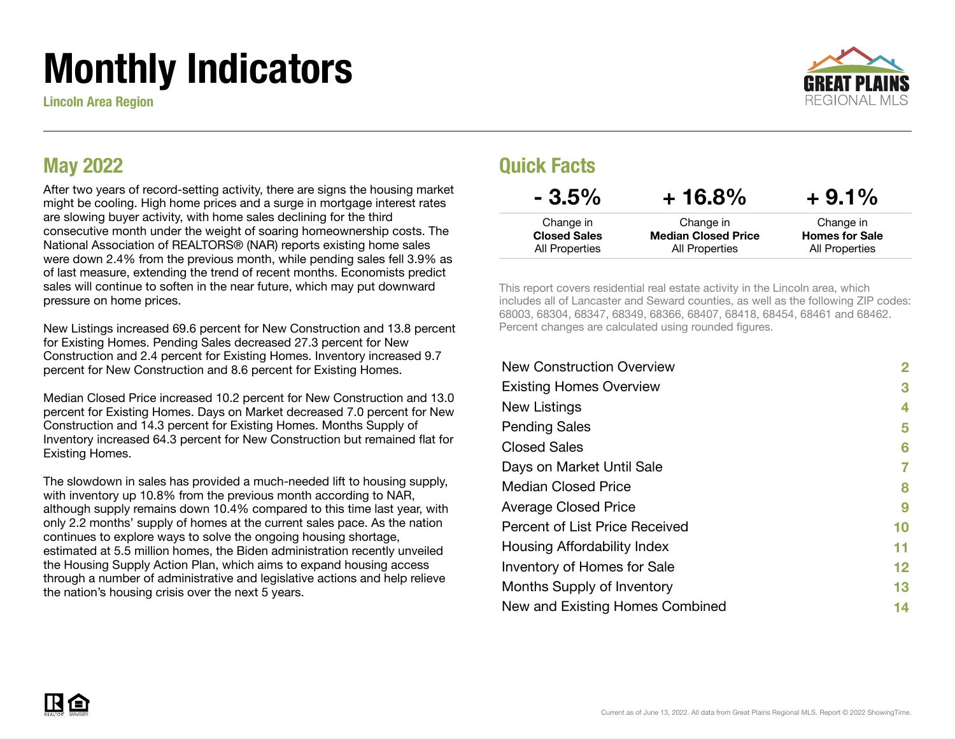# Monthly Indicators

Lincoln Area Region



#### May 2022

After two years of record-setting activity, there are signs the housing market might be cooling. High home prices and a surge in mortgage interest rates are slowing buyer activity, with home sales declining for the third consecutive month under the weight of soaring homeownership costs. The National Association of REALTORS® (NAR) reports existing home sales were down 2.4% from the previous month, while pending sales fell 3.9% as of last measure, extending the trend of recent months. Economists predict sales will continue to soften in the near future, which may put downward pressure on home prices.

New Listings increased 69.6 percent for New Construction and 13.8 percent for Existing Homes. Pending Sales decreased 27.3 percent for New Construction and 2.4 percent for Existing Homes. Inventory increased 9.7 percent for New Construction and 8.6 percent for Existing Homes.

Median Closed Price increased 10.2 percent for New Construction and 13.0 percent for Existing Homes. Days on Market decreased 7.0 percent for New Construction and 14.3 percent for Existing Homes. Months Supply of Inventory increased 64.3 percent for New Construction but remained flat for Existing Homes.

The slowdown in sales has provided a much-needed lift to housing supply, with inventory up 10.8% from the previous month according to NAR, although supply remains down 10.4% compared to this time last year, with only 2.2 months' supply of homes at the current sales pace. As the nation continues to explore ways to solve the ongoing housing shortage, estimated at 5.5 million homes, the Biden administration recently unveiled the Housing Supply Action Plan, which aims to expand housing access through a number of administrative and legislative actions and help relieve the nation's housing crisis over the next 5 years.

#### Quick Facts

| $-3.5\%$            | $+16.8%$                   | $+9.1\%$              |
|---------------------|----------------------------|-----------------------|
| Change in           | Change in                  | Change in             |
| <b>Closed Sales</b> | <b>Median Closed Price</b> | <b>Homes for Sale</b> |
| All Properties      | All Properties             | All Properties        |

This report covers residential real estate activity in the Lincoln area, which includes all of Lancaster and Seward counties, as well as the following ZIP codes: 68003, 68304, 68347, 68349, 68366, 68407, 68418, 68454, 68461 and 68462. Percent changes are calculated using rounded figures.

| 2  |
|----|
| 3  |
| 4  |
| 5  |
| 6  |
|    |
| 8  |
| 9  |
| 10 |
| 11 |
| 12 |
| 13 |
| 14 |
|    |

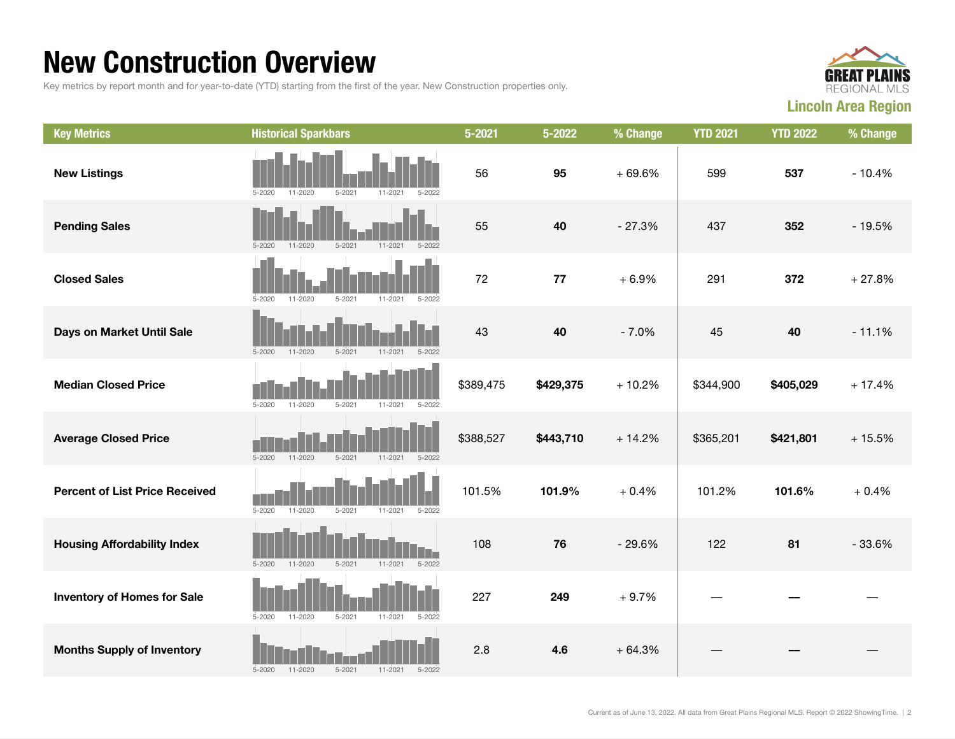### New Construction Overview

Key metrics by report month and for year-to-date (YTD) starting from the first of the year. New Construction properties only.



| <b>Key Metrics</b>                    | <b>Historical Sparkbars</b>                                          | $5 - 2021$ | 5-2022    | % Change | <b>YTD 2021</b> | <b>YTD 2022</b> | % Change |
|---------------------------------------|----------------------------------------------------------------------|------------|-----------|----------|-----------------|-----------------|----------|
| <b>New Listings</b>                   | 11-2020<br>$5 - 2021$<br>11-2021<br>$5 - 2020$<br>5-2022             | 56         | 95        | $+69.6%$ | 599             | 537             | $-10.4%$ |
| <b>Pending Sales</b>                  | $11 - 2020$<br>$5 - 2021$<br>$5 - 2020$<br>$11 - 2021$<br>$5 - 2022$ | 55         | 40        | $-27.3%$ | 437             | 352             | $-19.5%$ |
| <b>Closed Sales</b>                   | $5 - 2020$<br>$11 - 2020$<br>$5 - 2021$<br>$11 - 2021$<br>$5 - 2022$ | 72         | 77        | $+6.9%$  | 291             | 372             | $+27.8%$ |
| Days on Market Until Sale             | $5 - 2021$<br>$5 - 2022$<br>$5 - 2020$<br>$11 - 2020$<br>$11 - 2021$ | 43         | 40        | $-7.0%$  | 45              | 40              | $-11.1%$ |
| <b>Median Closed Price</b>            | $5 - 2020$<br>$11 - 2020$<br>$5 - 2021$<br>$11 - 2021$<br>$5 - 2022$ | \$389,475  | \$429,375 | $+10.2%$ | \$344,900       | \$405,029       | $+17.4%$ |
| <b>Average Closed Price</b>           | $5 - 2020$<br>11-2020<br>$5 - 2021$<br>11-2021<br>$5 - 2022$         | \$388,527  | \$443,710 | $+14.2%$ | \$365,201       | \$421,801       | $+15.5%$ |
| <b>Percent of List Price Received</b> | 11-2020<br>$5 - 2020$<br>$5 - 2021$<br>11-2021<br>$5 - 2022$         | 101.5%     | 101.9%    | $+0.4%$  | 101.2%          | 101.6%          | $+0.4%$  |
| <b>Housing Affordability Index</b>    | $5 - 2020$<br>$11 - 2020$<br>$5 - 2021$<br>$11 - 2021$<br>$5 - 2022$ | 108        | 76        | $-29.6%$ | 122             | 81              | $-33.6%$ |
| <b>Inventory of Homes for Sale</b>    | $11 - 2021$<br>$5 - 2020$<br>11-2020<br>$5 - 2021$<br>$5 - 2022$     | 227        | 249       | $+9.7%$  |                 |                 |          |
| <b>Months Supply of Inventory</b>     | $5 - 2020$<br>$11 - 2020$<br>$5 - 2021$<br>$11 - 2021$<br>$5 - 2022$ | 2.8        | 4.6       | $+64.3%$ |                 |                 |          |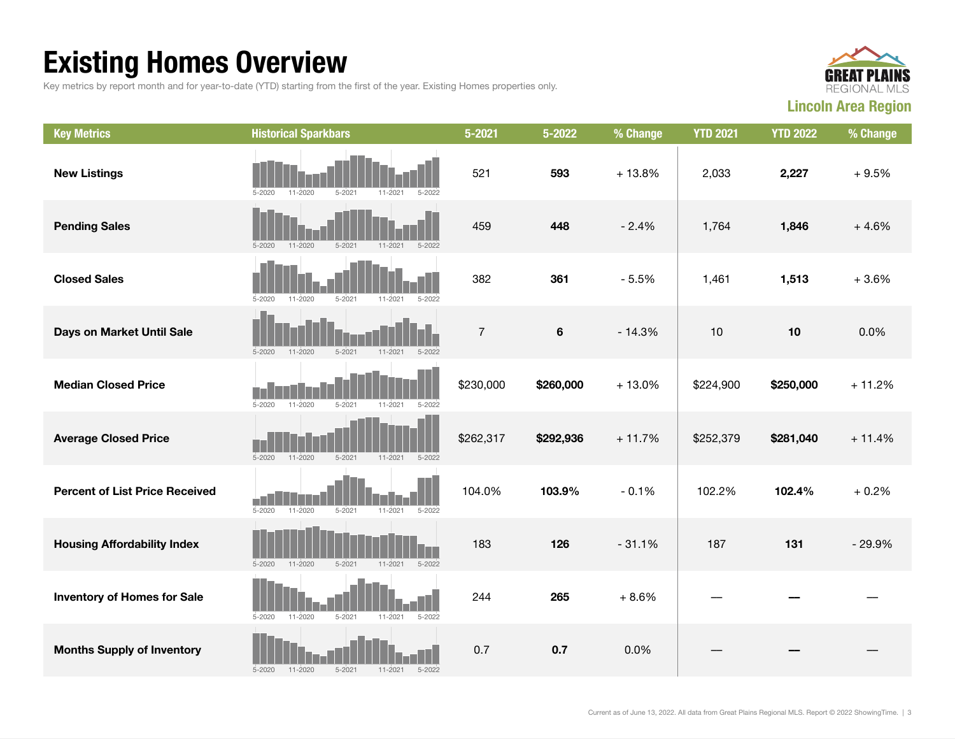## Existing Homes Overview

Key metrics by report month and for year-to-date (YTD) starting from the first of the year. Existing Homes properties only.



| <b>Key Metrics</b>                    | <b>Historical Sparkbars</b>                                          | $5 - 2021$     | $5 - 2022$ | % Change | <b>YTD 2021</b> | <b>YTD 2022</b> | % Change |
|---------------------------------------|----------------------------------------------------------------------|----------------|------------|----------|-----------------|-----------------|----------|
| <b>New Listings</b>                   | 11-2020<br>$5 - 2021$<br>11-2021<br>5-2020<br>5-2022                 | 521            | 593        | $+13.8%$ | 2,033           | 2,227           | $+9.5%$  |
| <b>Pending Sales</b>                  | $5 - 2020$<br>$11 - 2020$<br>$5 - 2021$<br>$11 - 2021$<br>$5 - 2022$ | 459            | 448        | $-2.4%$  | 1,764           | 1,846           | $+4.6%$  |
| <b>Closed Sales</b>                   | $5 - 2021$<br>$5 - 2020$<br>$11 - 2020$<br>$11 - 2021$<br>$5 - 2022$ | 382            | 361        | $-5.5%$  | 1,461           | 1,513           | $+3.6%$  |
| Days on Market Until Sale             | $5 - 2020$<br>$11 - 2020$<br>$5 - 2021$<br>$11 - 2021$<br>$5 - 2022$ | $\overline{7}$ | $\bf 6$    | $-14.3%$ | $10$            | 10              | 0.0%     |
| <b>Median Closed Price</b>            | $5 - 2020$<br>11-2020<br>$5 - 2021$<br>$11 - 2021$<br>$5 - 2022$     | \$230,000      | \$260,000  | $+13.0%$ | \$224,900       | \$250,000       | $+11.2%$ |
| <b>Average Closed Price</b>           | $5 - 2020$<br>$11 - 2020$<br>$5 - 2021$<br>$11 - 2021$<br>5-2022     | \$262,317      | \$292,936  | $+11.7%$ | \$252,379       | \$281,040       | $+11.4%$ |
| <b>Percent of List Price Received</b> | 11-2020<br>$5 - 2021$<br>$5 - 2020$<br>$11 - 2021$<br>$5 - 2022$     | 104.0%         | 103.9%     | $-0.1%$  | 102.2%          | 102.4%          | $+0.2%$  |
| <b>Housing Affordability Index</b>    | $11 - 2020$<br>$5 - 2020$<br>$5 - 2021$<br>$11 - 2021$<br>$5 - 2022$ | 183            | 126        | $-31.1%$ | 187             | 131             | $-29.9%$ |
| <b>Inventory of Homes for Sale</b>    | $5 - 2020$<br>$11 - 2020$<br>$5 - 2021$<br>$5 - 2022$<br>11-2021     | 244            | 265        | $+8.6%$  |                 |                 |          |
| <b>Months Supply of Inventory</b>     | $5 - 2020$<br>$11 - 2020$<br>$5 - 2021$<br>$11 - 2021$<br>$5 - 2022$ | 0.7            | 0.7        | 0.0%     |                 |                 |          |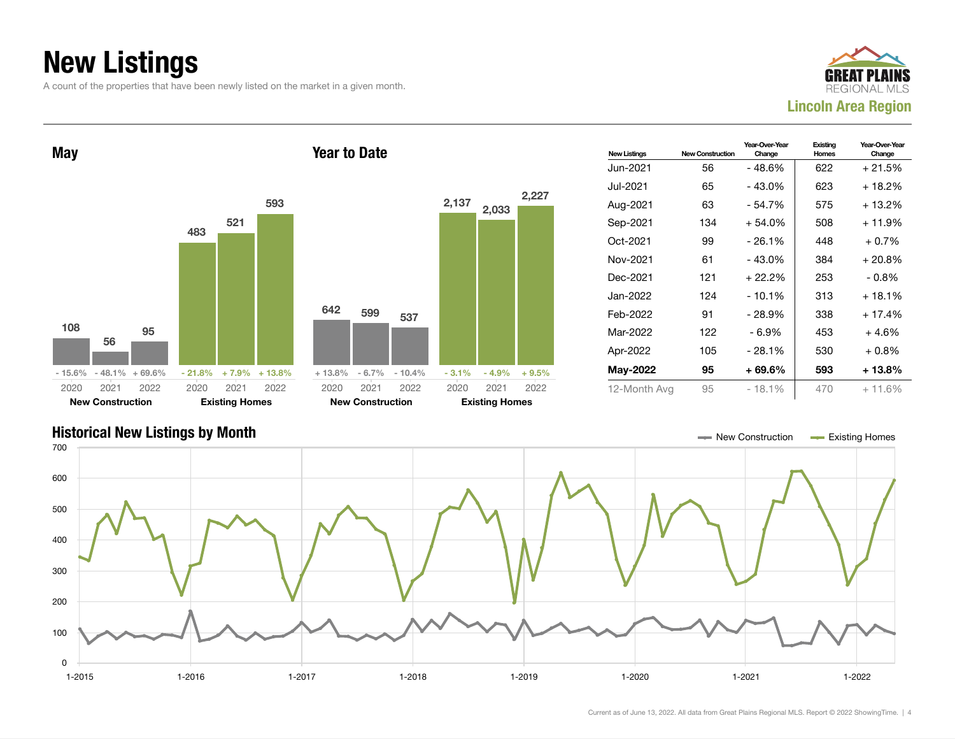## New Listings

A count of the properties that have been newly listed on the market in a given month.





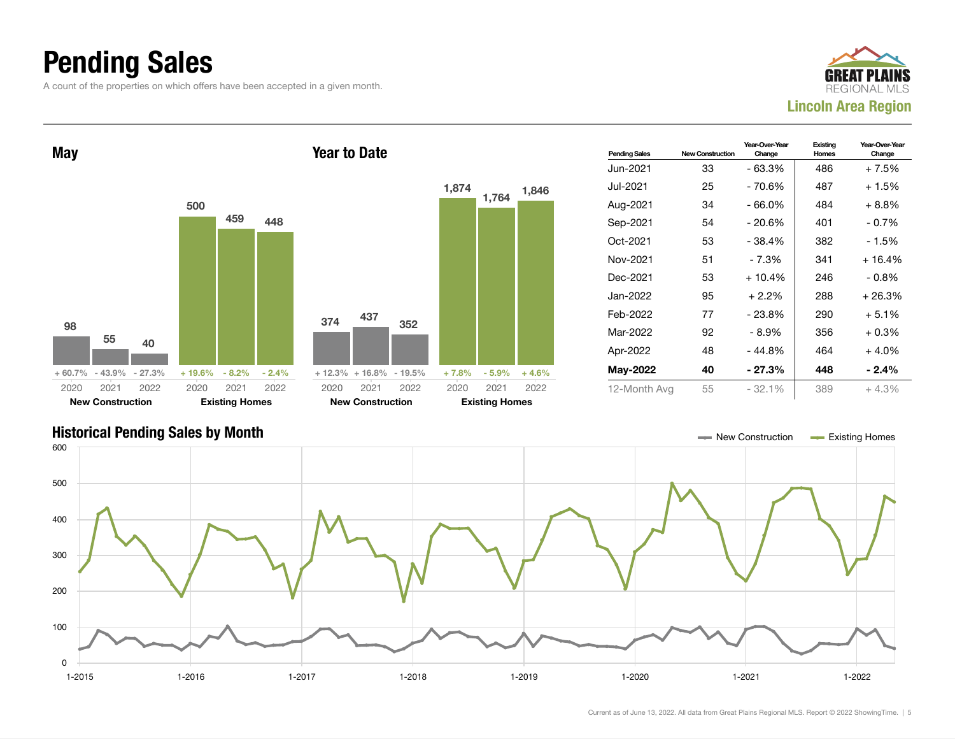### Pending Sales

A count of the properties on which offers have been accepted in a given month.





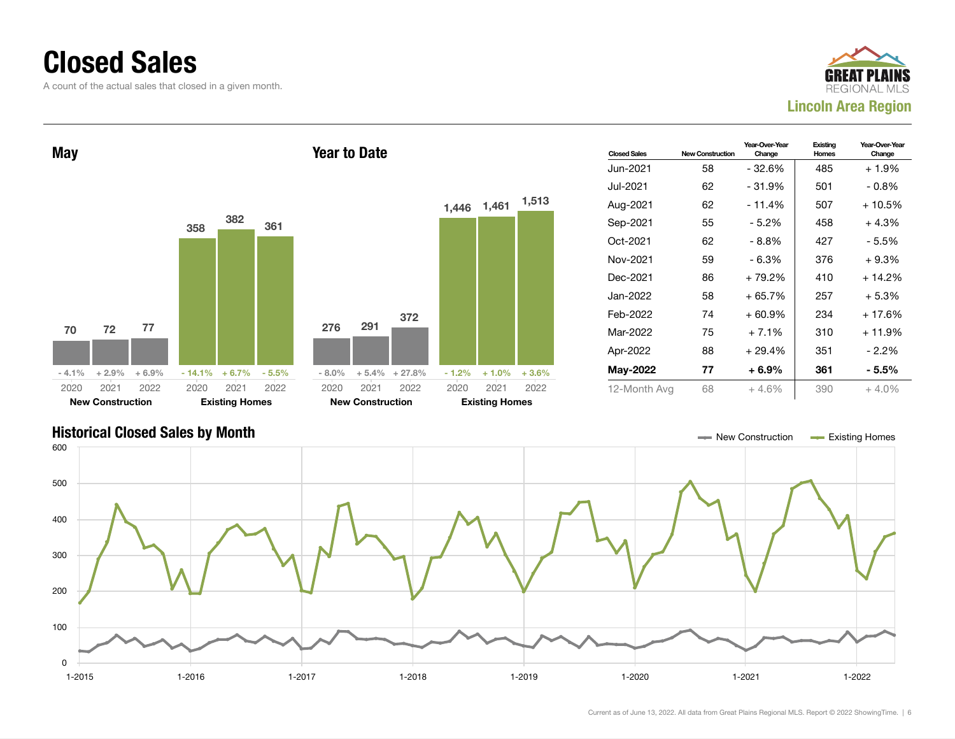### Closed Sales

A count of the actual sales that closed in a given month.





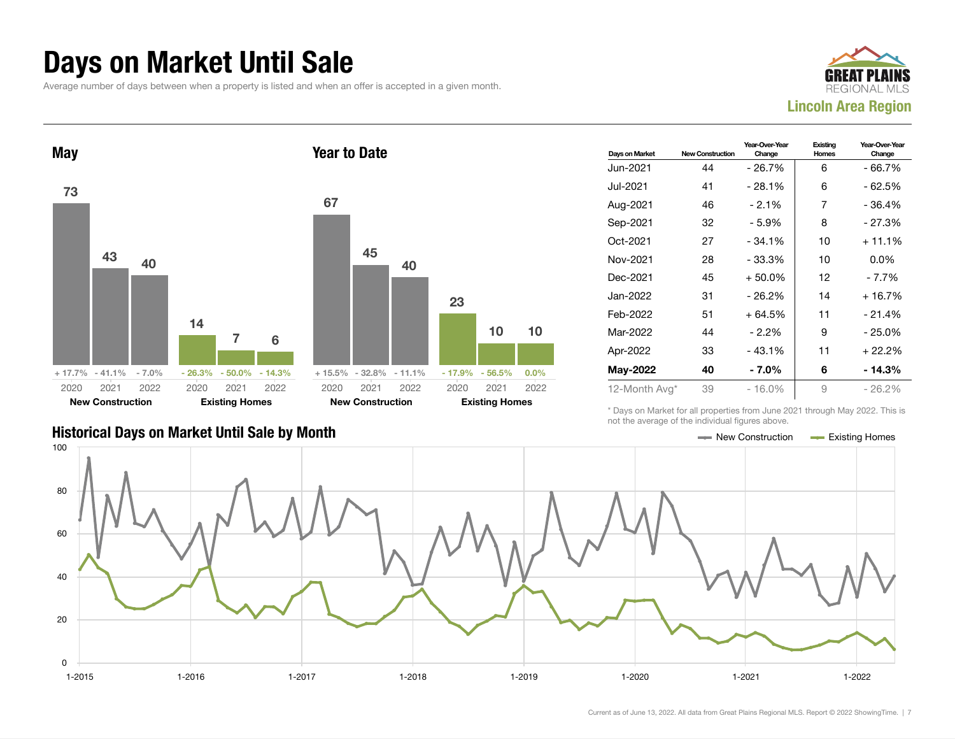#### Days on Market Until Sale

Average number of days between when a property is listed and when an offer is accepted in a given month.





|                                               | TIOL LITO QVOIQQO OF LITO IHQIVIQQQI HQUIOJ QDOVO. |                       |
|-----------------------------------------------|----------------------------------------------------|-----------------------|
| Historical Days on Market Until Sale by Month | New Construction                                   | <b>Existing Homes</b> |

| Days on Market  | <b>New Construction</b> | Year-Over-Year<br>Change | Existing<br><b>Homes</b> | Year-Over-Year<br>Change |
|-----------------|-------------------------|--------------------------|--------------------------|--------------------------|
| Jun-2021        | 44                      | - 26.7%                  | 6                        | - 66.7%                  |
| Jul-2021        | 41                      | $-28.1%$                 | 6                        | - 62.5%                  |
| Aug-2021        | 46                      | $-2.1%$                  | 7                        | - 36.4%                  |
| Sep-2021        | 32                      | - 5.9%                   | 8                        | - 27.3%                  |
| Oct-2021        | 27                      | $-34.1%$                 | 10                       | $+11.1%$                 |
| Nov-2021        | 28                      | $-33.3%$                 | 10                       | $0.0\%$                  |
| Dec-2021        | 45                      | $+50.0%$                 | 12                       | $-7.7%$                  |
| Jan-2022        | 31                      | $-26.2%$                 | 14                       | $+16.7%$                 |
| Feb-2022        | 51                      | $+64.5%$                 | 11                       | $-21.4%$                 |
| Mar-2022        | 44                      | $-2.2%$                  | 9                        | $-25.0%$                 |
| Apr-2022        | 33                      | $-43.1%$                 | 11                       | $+22.2%$                 |
| <b>May-2022</b> | 40                      | - 7.0%                   | 6                        | - 14.3%                  |
| 12-Month Avg*   | 39                      | $-16.0\%$                | 9                        | - 26.2%                  |

\* Days on Market for all properties from June 2021 through May 2022. This is not the average of the individual figures above.

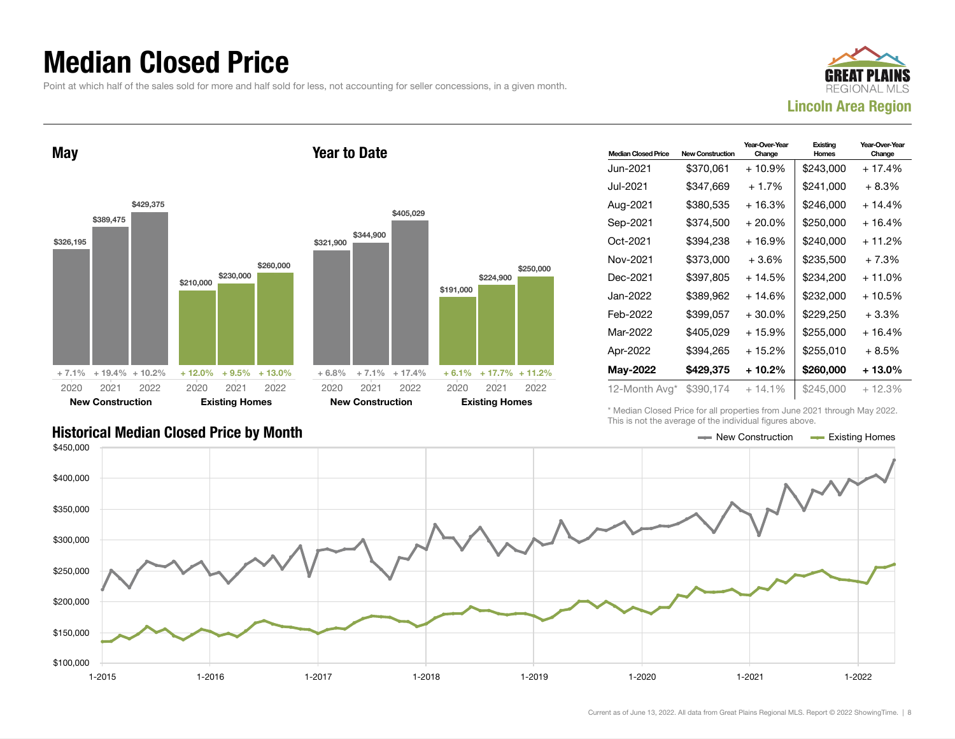### Median Closed Price

Point at which half of the sales sold for more and half sold for less, not accounting for seller concessions, in a given month.



May \$326,195 \$389,475 \$429,375 + 7.1% + 19.4% + 10.2% \$210,000 \$230. \$260,000  $+ 12.0\% + 9.5$ 2020 New Construction 2021 2022 2020 Existing 202 Year to Date \$321,900 \$344,900 2020

|     |              |           |                         | \$405,029 |           |                       |                    |
|-----|--------------|-----------|-------------------------|-----------|-----------|-----------------------|--------------------|
| 000 | \$260,000    | \$321,900 | \$344,900               |           |           |                       | \$250,000          |
|     |              |           |                         |           | \$191,000 | \$224,900             |                    |
| 5%  | $+13.0%$     | $+6.8%$   | $+7.1%$                 | $+17.4%$  | $+6.1%$   |                       | $+17.7\% + 11.2\%$ |
| 21  | 2022         | 2020      | 2021                    | 2022      | 2020      | 2021                  | 2022               |
|     | <b>Homes</b> |           | <b>New Construction</b> |           |           | <b>Existing Homes</b> |                    |

| <b>Median Closed Price</b> | <b>New Construction</b> | Year-Over-Year<br>Change | Existing<br><b>Homes</b> | Year-Over-Year<br>Change |
|----------------------------|-------------------------|--------------------------|--------------------------|--------------------------|
| Jun-2021.                  | \$370,061               | $+10.9%$                 | \$243,000                | $+17.4%$                 |
| Jul-2021                   | \$347,669               | $+1.7%$                  | \$241,000                | $+8.3%$                  |
| Aug-2021                   | \$380,535               | + 16.3%                  | \$246,000                | $+14.4%$                 |
| Sep-2021                   | \$374,500               | $+20.0%$                 | \$250,000                | + 16.4%                  |
| Oct-2021                   | \$394,238               | + 16.9%                  | \$240,000                | + 11.2%                  |
| Nov-2021                   | \$373,000               | $+3.6%$                  | \$235.500                | $+7.3%$                  |
| Dec-2021                   | \$397,805               | $+14.5%$                 | \$234.200                | + 11.0%                  |
| Jan-2022                   | \$389,962               | + 14.6%                  | \$232,000                | + 10.5%                  |
| Feb-2022                   | \$399,057               | $+30.0\%$                | \$229,250                | $+3.3%$                  |
| Mar-2022                   | \$405,029               | $+15.9%$                 | \$255,000                | $+16.4%$                 |
| Apr-2022                   | \$394.265               | + 15.2%                  | \$255.010                | $+8.5%$                  |
| May-2022                   | \$429,375               | + 10.2%                  | \$260,000                | + 13.0%                  |
| 12-Month Avg*              | \$390,174               | $+14.1%$                 | \$245,000                | $+12.3%$                 |

\* Median Closed Price for all properties from June 2021 through May 2022. This is not the average of the individual figures above.

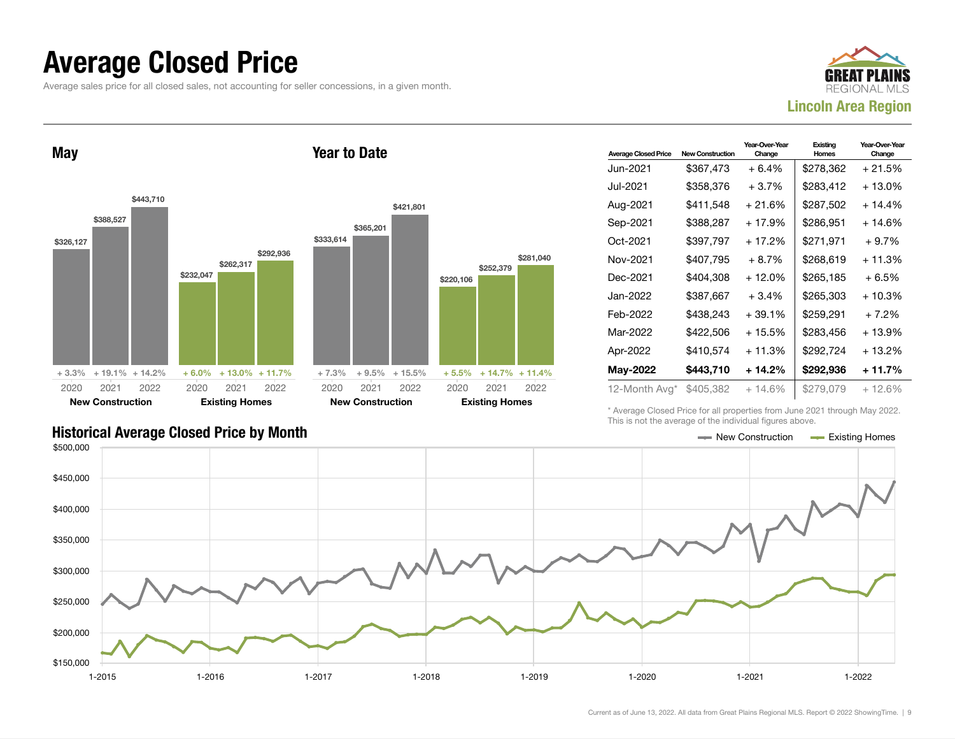#### Average Closed Price

Average sales price for all closed sales, not accounting for seller concessions, in a given month.



May \$326,127 \$388,527 \$443,710 + 3.3% + 19.1% + 14.2% \$232,047 \$262,317 \$292,936  $+ 6.0\% + 13.0\% + 11.7\%$ 2020 New Construction 2021 2022 2020 Existing Homes 2021 2022 Year to Date \$333,614 \$365,201 \$421,801 + 7.3% + 9.5% + 15.5% \$220,106 \$252,379 + 5.5% + 14.7% + 11.4% 2020 New Construction 2021 2022 2020 Existing Homes 2021 2022

| <b>Average Closed Price</b> | <b>New Construction</b> | Year-Over-Year<br>Change | Existing<br>Homes | Year-Over-Year<br>Change |
|-----------------------------|-------------------------|--------------------------|-------------------|--------------------------|
| Jun-2021                    | \$367,473               | $+6.4%$                  | \$278,362         | + 21.5%                  |
| Jul-2021.                   | \$358,376               | $+3.7%$                  | \$283,412         | + 13.0%                  |
| Aug-2021                    | \$411,548               | + 21.6%                  | \$287,502         | $+14.4%$                 |
| Sep-2021                    | \$388,287               | + 17.9%                  | \$286.951         | + 14.6%                  |
| Oct-2021                    | \$397,797               | + 17.2%                  | \$271,971         | $+9.7%$                  |
| Nov-2021                    | \$407.795               | $+8.7%$                  | \$268,619         | + 11.3%                  |
| Dec-2021                    | \$404.308               | $+12.0%$                 | \$265,185         | $+6.5%$                  |
| Jan-2022.                   | \$387,667               | $+3.4%$                  | \$265,303         | + 10.3%                  |
| Feb-2022                    | \$438.243               | + 39.1%                  | \$259,291         | $+7.2%$                  |
| Mar-2022                    | \$422,506               | $+15.5%$                 | \$283.456         | + 13.9%                  |
| Apr-2022                    | \$410,574               | $+11.3%$                 | \$292,724         | $+13.2%$                 |
| <b>May-2022</b>             | \$443,710               | $+14.2%$                 | \$292,936         | + 11.7%                  |
| 12-Month Avg*               | \$405,382               | $+14.6\%$                | \$279,079         | $+12.6%$                 |

#### Historical Average Closed Price by Month **New Construction Average Closed Price by Month** New Construction Average Existing Homes

\* Average Closed Price for all properties from June 2021 through May 2022. This is not the average of the individual figures above.



\$281,040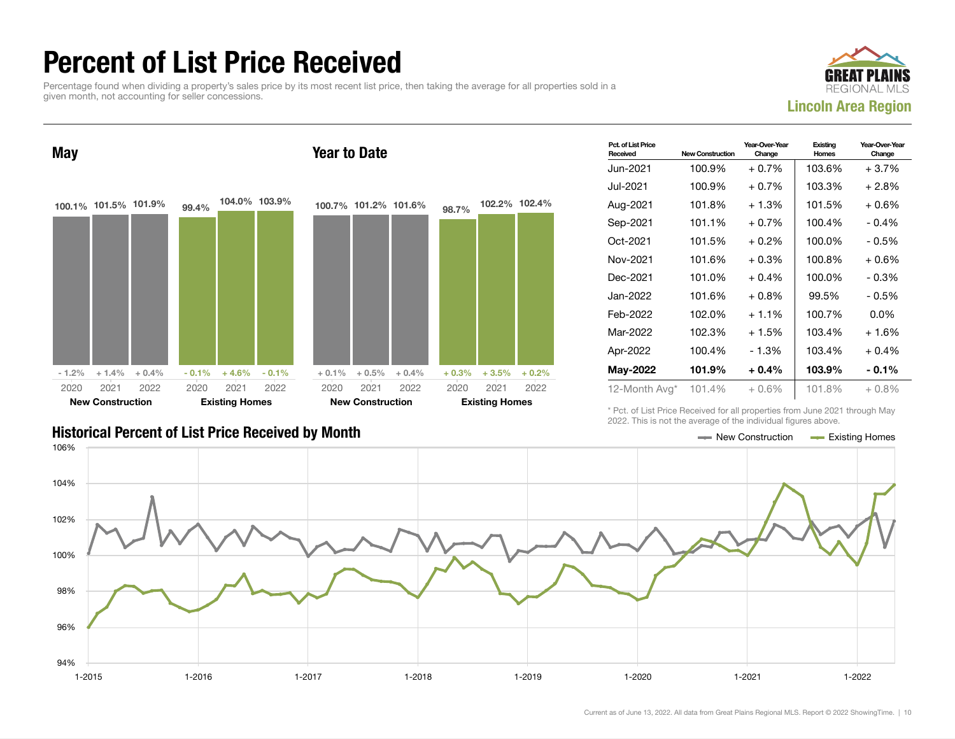### Percent of List Price Received

Percentage found when dividing a property's sales price by its most recent list price, then taking the average for all properties sold in a given month, not accounting for seller concessions.





| Pct. of List Price<br>Received | <b>New Construction</b> | Year-Over-Year<br>Change | Existing<br><b>Homes</b> | Year-Over-Year<br>Change |
|--------------------------------|-------------------------|--------------------------|--------------------------|--------------------------|
| Jun-2021.                      | 100.9%                  | $+0.7\%$                 | 103.6%                   | + 3.7%                   |
| Jul-2021.                      | 100.9%                  | $+0.7\%$                 | 103.3%                   | + 2.8%                   |
| Aug-2021                       | 101.8%                  | $+1.3%$                  | 101.5%                   | + 0.6%                   |
| Sep-2021                       | 101.1%                  | $+0.7\%$                 | 100.4%                   | $-0.4%$                  |
| Oct-2021                       | 101.5%                  | $+0.2\%$                 | 100.0%                   | $-0.5%$                  |
| Nov-2021                       | 101.6%                  | $+0.3\%$                 | 100.8%                   | + 0.6%                   |
| Dec-2021                       | 101.0%                  | $+0.4\%$                 | 100.0%                   | $-0.3%$                  |
| Jan-2022                       | 101.6%                  | $+0.8\%$                 | 99.5%                    | - 0.5%                   |
| Feb-2022                       | 102.0%                  | $+1.1\%$                 | 100.7%                   | $0.0\%$                  |
| Mar-2022                       | 102.3%                  | $+1.5%$                  | 103.4%                   | + 1.6%                   |
| Apr-2022                       | 100.4%                  | - 1.3%                   | 103.4%                   | $+0.4%$                  |
| May-2022                       | 101.9%                  | $+0.4\%$                 | 103.9%                   | $-0.1\%$                 |
| 12-Month Avg*                  | 101.4%                  | $+0.6%$                  | 101.8%                   | $+0.8%$                  |

Historical Percent of List Price Received by Month New Construction According Homes

\* Pct. of List Price Received for all properties from June 2021 through May 2022. This is not the average of the individual figures above.

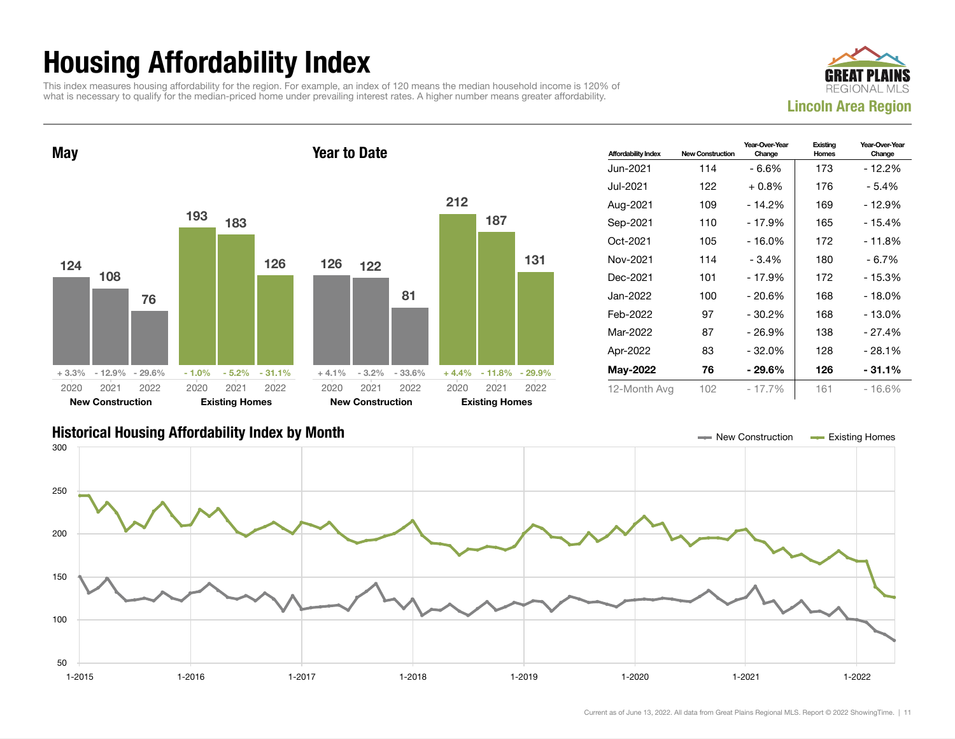## Housing Affordability Index

This index measures housing affordability for the region. For example, an index of 120 means the median household income is 120% of what is necessary to qualify for the median-priced home under prevailing interest rates. A higher number means greater affordability.





| <b>Affordability Index</b> | <b>New Construction</b> | Year-Over-Year<br>Change | Existing<br>Homes | Year-Over-Year<br>Change |
|----------------------------|-------------------------|--------------------------|-------------------|--------------------------|
| Jun-2021.                  | 114                     | - 6.6%                   | 173               | - 12.2%                  |
| Jul-2021                   | 122                     | $+0.8%$                  | 176               | - 5.4%                   |
| Aug-2021                   | 109                     | - 14.2%                  | 169               | - 12.9%                  |
| Sep-2021                   | 110                     | $-17.9%$                 | 165               | $-15.4%$                 |
| Oct-2021                   | 105                     | - 16.0%                  | 172               | - 11.8%                  |
| Nov-2021                   | 114                     | $-3.4%$                  | 180               | - 6.7%                   |
| Dec-2021                   | 101                     | $-17.9%$                 | 172               | $-15.3%$                 |
| Jan-2022.                  | 100                     | - 20.6%                  | 168               | - 18.0%                  |
| Feb-2022                   | 97                      | $-30.2%$                 | 168               | - 13.0%                  |
| Mar-2022                   | 87                      | - 26.9%                  | 138               | - 27.4%                  |
| Apr-2022                   | 83                      | - 32.0%                  | 128               | $-28.1%$                 |
| <b>May-2022</b>            | 76                      | - 29.6%                  | 126               | - 31.1%                  |
| 12-Month Avg               | 102                     | $-17.7%$                 | 161               | $-16.6%$                 |

#### Historical Housing Affordability Index by Month New Construction Existing Homes

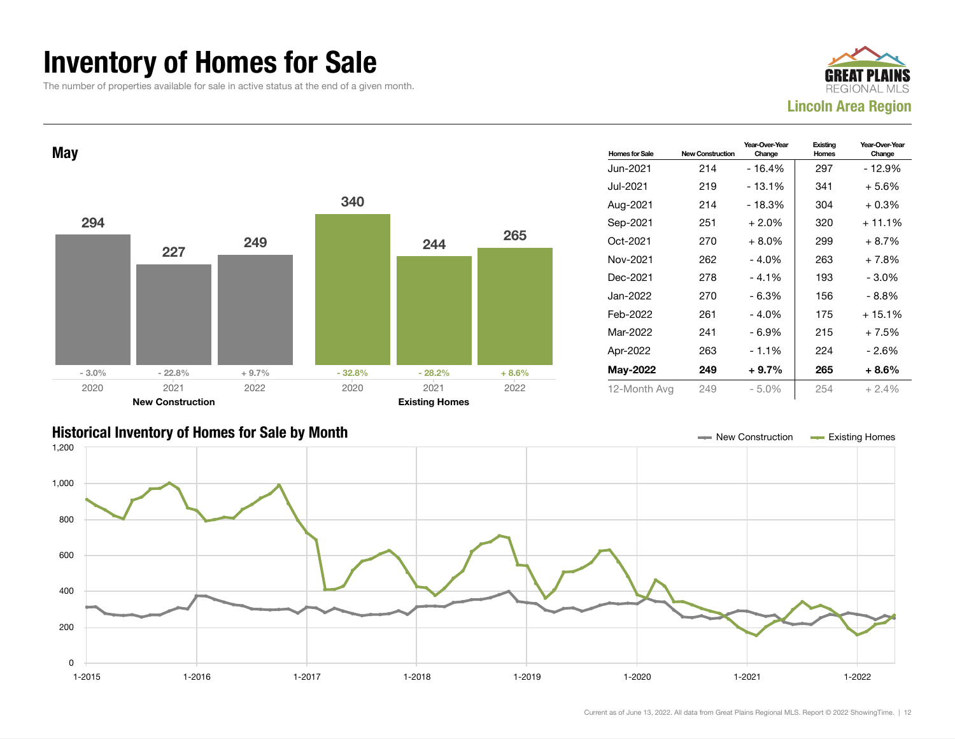### Inventory of Homes for Sale

The number of properties available for sale in active status at the end of a given month.





#### Historical Inventory of Homes for Sale by Month New Construction Existing Homes

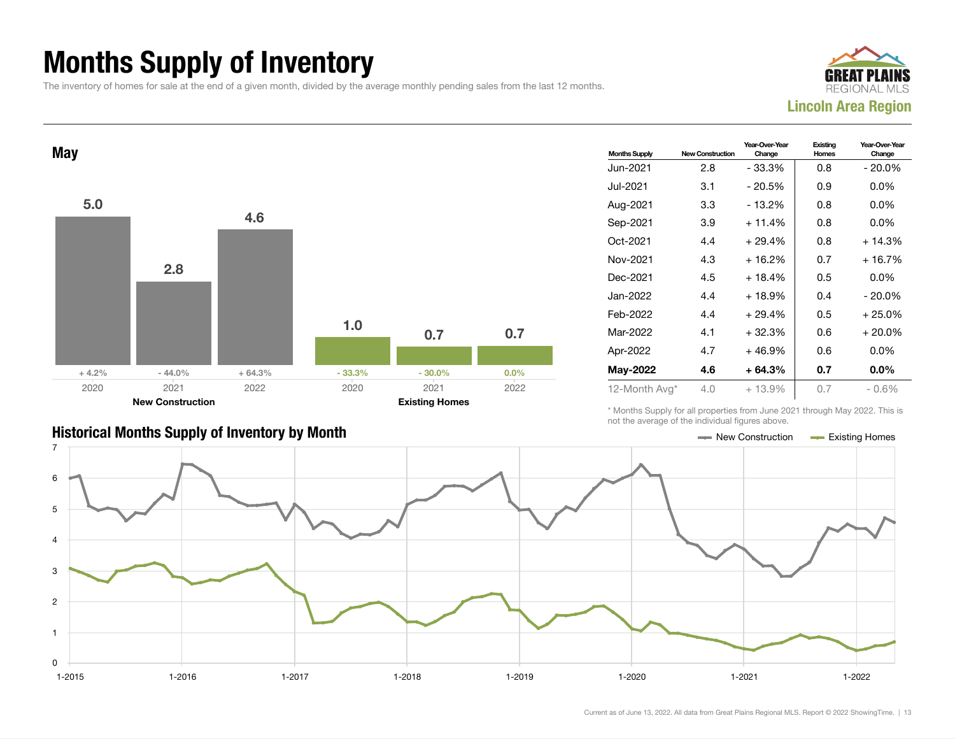## Months Supply of Inventory

The inventory of homes for sale at the end of a given month, divided by the average monthly pending sales from the last 12 months.





| <b>Months Supply</b> | <b>New Construction</b> | Year-Over-Year<br>Change | Existing<br>Homes | Year-Over-Year<br>Change |
|----------------------|-------------------------|--------------------------|-------------------|--------------------------|
| Jun-2021             | 2.8                     | - 33.3%                  | 0.8               | - 20.0%                  |
| Jul-2021.            | 3.1                     | - 20.5%                  | 0.9               | $0.0\%$                  |
| Aug-2021             | 3.3                     | - 13.2%                  | 0.8               | $0.0\%$                  |
| Sep-2021             | 3.9                     | $+11.4%$                 | 0.8               | $0.0\%$                  |
| Oct-2021             | 4.4                     | $+29.4%$                 | 0.8               | $+14.3%$                 |
| Nov-2021             | 4.3                     | $+16.2%$                 | 0.7               | $+16.7%$                 |
| Dec-2021             | 4.5                     | $+18.4%$                 | 0.5               | $0.0\%$                  |
| Jan-2022             | 4.4                     | $+18.9%$                 | 0.4               | $-20.0\%$                |
| Feb-2022             | 4.4                     | $+29.4%$                 | 0.5               | $+25.0%$                 |
| Mar-2022             | 4.1                     | $+32.3%$                 | 0.6               | $+20.0%$                 |
| Apr-2022             | 4.7                     | $+46.9%$                 | 0.6               | $0.0\%$                  |
| May-2022             | 4.6                     | $+64.3%$                 | 0.7               | $0.0\%$                  |
| 12-Month Avg*        | 4.0                     | $+13.9%$                 | 0.7               | - 0.6%                   |

\* Months Supply for all properties from June 2021 through May 2022. This is not the average of the individual figures above.